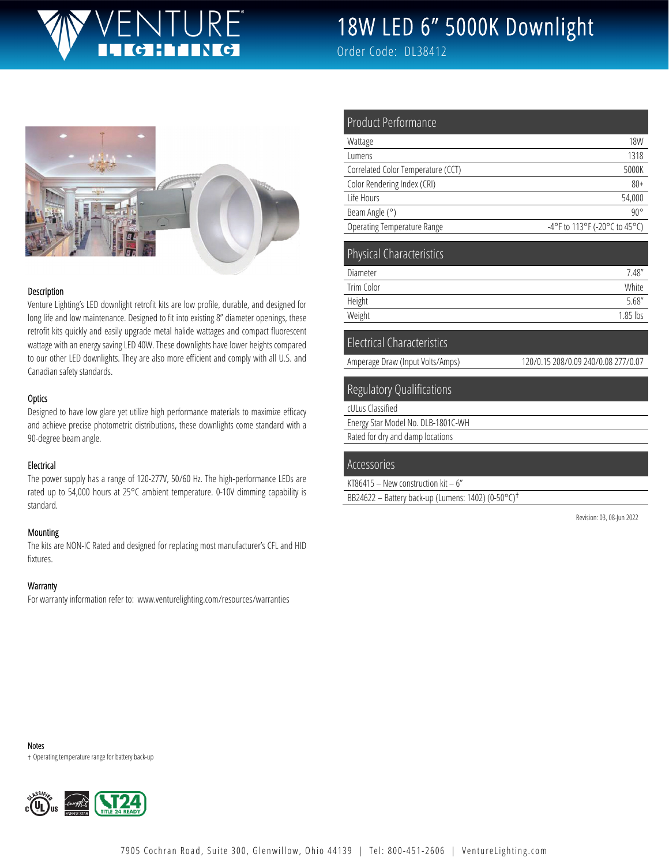## JRF® **CHING**

## 18W LED 6" 5000K Downlight

Order Code: DL38412



#### Description

Venture Lighting's LED downlight retrofit kits are low profile, durable, and designed for long life and low maintenance. Designed to fit into existing 8" diameter openings, these retrofit kits quickly and easily upgrade metal halide wattages and compact fluorescent wattage with an energy saving LED 40W. These downlights have lower heights compared to our other LED downlights. They are also more efficient and comply with all U.S. and Canadian safety standards.

#### **Optics**

Designed to have low glare yet utilize high performance materials to maximize efficacy and achieve precise photometric distributions, these downlights come standard with a 90-degree beam angle.

#### Electrical

The power supply has a range of 120-277V, 50/60 Hz. The high-performance LEDs are rated up to 54,000 hours at 25°C ambient temperature. 0-10V dimming capability is standard.

#### Mounting

The kits are NON-IC Rated and designed for replacing most manufacturer's CFL and HID fixtures.

#### **Warranty**

For warranty information refer to: www.venturelighting.com/resources/warranties

| Product Performance                |                               |
|------------------------------------|-------------------------------|
| Wattage                            | <b>18W</b>                    |
| Lumens                             | 1318                          |
| Correlated Color Temperature (CCT) | 5000K                         |
| Color Rendering Index (CRI)        | $80+$                         |
| Life Hours                         | 54,000                        |
| Beam Angle (°)                     | $90^{\circ}$                  |
| Operating Temperature Range        | -4°F to 113°F (-20°C to 45°C) |
| <b>Physical Characteristics</b>    |                               |
| Diameter                           | 7.48"                         |
| Trim Color                         | White                         |
| Height                             | 5.68''                        |
| Weight                             | 1.85 lbs                      |

#### Electrical Characteristics

Amperage Draw (Input Volts/Amps) 120/0.15 208/0.09 240/0.08 277/0.07

#### Regulatory Qualifications

cULus Classified

Energy Star Model No. DLB-1801C-WH

Rated for dry and damp locations

#### Accessories

KT86415 – New construction kit – 6"

BB24622 – Battery back-up (Lumens: 1402) (0-50°C)†

Revision: 03, 08-Jun 2022

Notes

† Operating temperature range for battery back-up